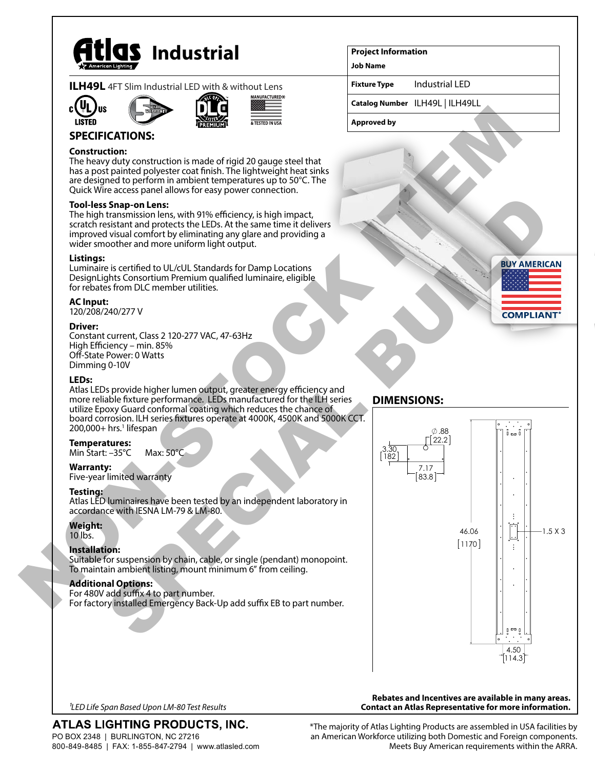

|  |  | <b>ILH49L</b> 4FT Slim Industrial LED with & without Lens |
|--|--|-----------------------------------------------------------|
|  |  |                                                           |









## **SPECIFICATIONS:**

#### **Construction:**

The heavy duty construction is made of rigid 20 gauge steel that has a post painted polyester coat finish. The lightweight heat sinks are designed to perform in ambient temperatures up to 50°C. The Quick Wire access panel allows for easy power connection.

#### **Tool-less Snap-on Lens:**

The high transmission lens, with 91% efficiency, is high impact, scratch resistant and protects the LEDs. At the same time it delivers improved visual comfort by eliminating any glare and providing a wider smoother and more uniform light output.

#### **Listings:**

Luminaire is certified to UL/cUL Standards for Damp Locations DesignLights Consortium Premium qualified luminaire, eligible for rebates from DLC member utilities.

#### **AC Input:**

120/208/240/277 V

#### **Driver:**

Constant current, Class 2 120-277 VAC, 47-63Hz High Efficiency – min. 85% Off-State Power: 0 Watts Dimming 0-10V

#### **LEDs:**

Atlas LEDs provide higher lumen output, greater energy efficiency and more reliable fixture performance. LEDs manufactured for the ILH series utilize Epoxy Guard conformal coating which reduces the chance of board corrosion. ILH series fixtures operate at 4000K, 4500K and 5000K CCT. 200,000+ hrs.<sup>1</sup> lifespan

#### **Temperatures:**

Min Start: –35°C Max: 50°C

#### **Warranty:**

Five-year limited warranty

#### **Testing:**

Atlas LED luminaires have been tested by an independent laboratory in accordance with IESNA LM-79 & LM-80.

#### **Weight:**

10 lbs.

### **Installation:**

Suitable for suspension by chain, cable, or single (pendant) monopoint. To maintain ambient listing, mount minimum 6" from ceiling.

#### **Additional Options:**

For 480V add suffix 4 to part number. For factory installed Emergency Back-Up add suffix EB to part number.

## **DIMENSIONS:**



*1LED Life Span Based Upon LM-80 Test Results*

# ATLAS LIGHTING PRODUCTS, INC.

PO BOX 2348 | BURLINGTON, NC 27216 800-849-8485 | FAX: 1-855-847-2794 | www.atlasled.com \*The majority of Atlas Lighting Products are assembled in USA facilities by an American Workforce utilizing both Domestic and Foreign components. Meets Buy American requirements within the ARRA.

**Rebates and Incentives are available in many areas. Contact an Atlas Representative for more information.**

**Project Information**

**Job Name**

**Fixture Type** Industrial LED

**Catalog Number** ILH49L | ILH49LL

**Approved by**